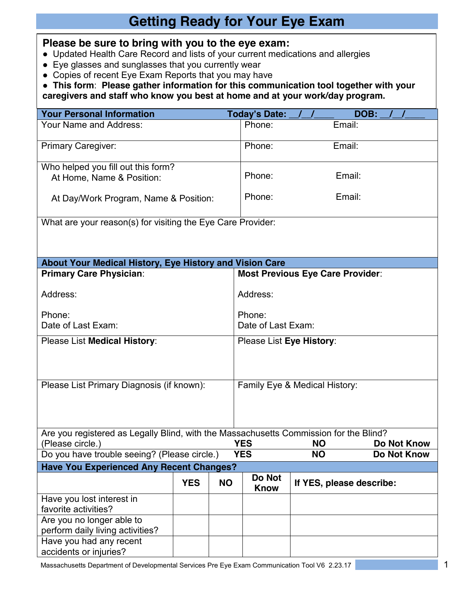## **Getting Ready for Your Eye Exam**

## **Please be sure to bring with you to the eye exam:**

- Updated Health Care Record and lists of your current medications and allergies
- Eye glasses and sunglasses that you currently wear
- Copies of recent Eye Exam Reports that you may have

● **This form**: **Please gather information for this communication tool together with your caregivers and staff who know you best at home and at your work/day program.**

| <b>Your Personal Information</b>                                                      |                    |                               | <b>Today's Date:</b> |                                         | DOB: |             |             |  |  |  |  |
|---------------------------------------------------------------------------------------|--------------------|-------------------------------|----------------------|-----------------------------------------|------|-------------|-------------|--|--|--|--|
| Your Name and Address:                                                                |                    |                               | Phone:               | Email:                                  |      |             |             |  |  |  |  |
| Primary Caregiver:                                                                    | Phone:             | Email:                        |                      |                                         |      |             |             |  |  |  |  |
| Who helped you fill out this form?<br>At Home, Name & Position:                       | Phone:             | Email:                        |                      |                                         |      |             |             |  |  |  |  |
| At Day/Work Program, Name & Position:                                                 |                    | Phone:                        | Email:               |                                         |      |             |             |  |  |  |  |
| What are your reason(s) for visiting the Eye Care Provider:                           |                    |                               |                      |                                         |      |             |             |  |  |  |  |
|                                                                                       |                    |                               |                      |                                         |      |             |             |  |  |  |  |
|                                                                                       |                    |                               |                      |                                         |      |             |             |  |  |  |  |
| About Your Medical History, Eye History and Vision Care                               |                    |                               |                      |                                         |      |             |             |  |  |  |  |
| <b>Primary Care Physician:</b>                                                        |                    |                               |                      | <b>Most Previous Eye Care Provider:</b> |      |             |             |  |  |  |  |
| Address:                                                                              | Address:           |                               |                      |                                         |      |             |             |  |  |  |  |
| Phone:                                                                                | Phone:             |                               |                      |                                         |      |             |             |  |  |  |  |
| Date of Last Exam:                                                                    | Date of Last Exam: |                               |                      |                                         |      |             |             |  |  |  |  |
| Please List Medical History:                                                          |                    | Please List Eye History:      |                      |                                         |      |             |             |  |  |  |  |
| Please List Primary Diagnosis (if known):                                             |                    | Family Eye & Medical History: |                      |                                         |      |             |             |  |  |  |  |
| Are you registered as Legally Blind, with the Massachusetts Commission for the Blind? |                    |                               |                      |                                         |      |             |             |  |  |  |  |
| (Please circle.)                                                                      |                    | <b>YES</b>                    | <b>NO</b>            |                                         |      | Do Not Know |             |  |  |  |  |
| Do you have trouble seeing? (Please circle.)                                          |                    |                               | <b>YES</b>           | <b>NO</b>                               |      |             | Do Not Know |  |  |  |  |
| <b>Have You Experienced Any Recent Changes?</b><br>Do Not                             |                    |                               |                      |                                         |      |             |             |  |  |  |  |
|                                                                                       | <b>YES</b>         | <b>NO</b>                     | <b>Know</b>          | If YES, please describe:                |      |             |             |  |  |  |  |
| Have you lost interest in                                                             |                    |                               |                      |                                         |      |             |             |  |  |  |  |
| favorite activities?                                                                  |                    |                               |                      |                                         |      |             |             |  |  |  |  |
| Are you no longer able to<br>perform daily living activities?                         |                    |                               |                      |                                         |      |             |             |  |  |  |  |
| Have you had any recent                                                               |                    |                               |                      |                                         |      |             |             |  |  |  |  |
| accidents or injuries?                                                                |                    |                               |                      |                                         |      |             |             |  |  |  |  |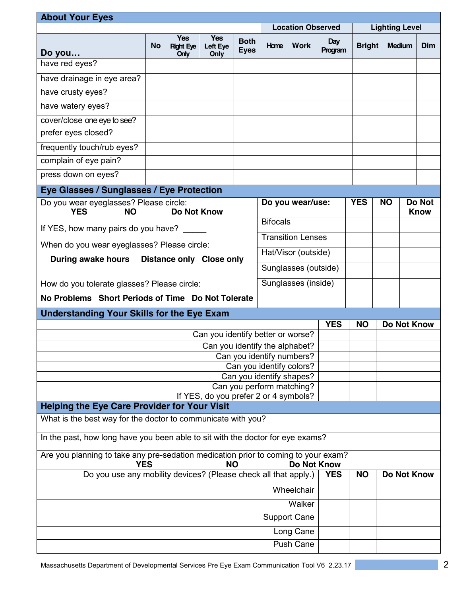| <b>About Your Eyes</b>                                                                                                |                                                                           |                                        |                                |                            |                          |                     |                |                       |             |               |                       |
|-----------------------------------------------------------------------------------------------------------------------|---------------------------------------------------------------------------|----------------------------------------|--------------------------------|----------------------------|--------------------------|---------------------|----------------|-----------------------|-------------|---------------|-----------------------|
|                                                                                                                       |                                                                           |                                        |                                |                            | <b>Location Observed</b> |                     |                | <b>Lighting Level</b> |             |               |                       |
| Do you                                                                                                                | <b>No</b>                                                                 | <b>Yes</b><br><b>Right Eye</b><br>Only | <b>Yes</b><br>Left Eye<br>Only | <b>Both</b><br><b>Eyes</b> | Home                     | <b>Work</b>         | Day<br>Program | <b>Bright</b>         |             | <b>Medium</b> |                       |
| have red eyes?                                                                                                        |                                                                           |                                        |                                |                            |                          |                     |                |                       |             |               |                       |
| have drainage in eye area?                                                                                            |                                                                           |                                        |                                |                            |                          |                     |                |                       |             |               |                       |
| have crusty eyes?                                                                                                     |                                                                           |                                        |                                |                            |                          |                     |                |                       |             |               |                       |
| have watery eyes?                                                                                                     |                                                                           |                                        |                                |                            |                          |                     |                |                       |             |               |                       |
| cover/close one eye to see?                                                                                           |                                                                           |                                        |                                |                            |                          |                     |                |                       |             |               |                       |
| prefer eyes closed?                                                                                                   |                                                                           |                                        |                                |                            |                          |                     |                |                       |             |               |                       |
| frequently touch/rub eyes?                                                                                            |                                                                           |                                        |                                |                            |                          |                     |                |                       |             |               |                       |
| complain of eye pain?                                                                                                 |                                                                           |                                        |                                |                            |                          |                     |                |                       |             |               |                       |
| press down on eyes?                                                                                                   |                                                                           |                                        |                                |                            |                          |                     |                |                       |             |               |                       |
| Eye Glasses / Sunglasses / Eye Protection                                                                             |                                                                           |                                        |                                |                            |                          |                     |                |                       |             |               |                       |
| <b>YES</b><br><b>NO</b>                                                                                               | Do you wear eyeglasses? Please circle:<br>Do you wear/use:<br>Do Not Know |                                        |                                |                            |                          |                     |                | <b>YES</b>            | <b>NO</b>   |               | Do Not<br><b>Know</b> |
| <b>Bifocals</b><br>If YES, how many pairs do you have?                                                                |                                                                           |                                        |                                |                            |                          |                     |                |                       |             |               |                       |
| <b>Transition Lenses</b>                                                                                              |                                                                           |                                        |                                |                            |                          |                     |                |                       |             |               |                       |
| When do you wear eyeglasses? Please circle:<br>Hat/Visor (outside)                                                    |                                                                           |                                        |                                |                            |                          |                     |                |                       |             |               |                       |
| <b>During awake hours</b><br><b>Distance only Close only</b><br>Sunglasses (outside)                                  |                                                                           |                                        |                                |                            |                          |                     |                |                       |             |               |                       |
| How do you tolerate glasses? Please circle:                                                                           |                                                                           |                                        |                                |                            |                          | Sunglasses (inside) |                |                       |             |               |                       |
| No Problems Short Periods of Time Do Not Tolerate                                                                     |                                                                           |                                        |                                |                            |                          |                     |                |                       |             |               |                       |
| <b>Understanding Your Skills for the Eye Exam</b>                                                                     |                                                                           |                                        |                                |                            |                          |                     |                |                       |             |               |                       |
|                                                                                                                       |                                                                           |                                        |                                |                            |                          |                     | <b>YES</b>     | <b>NO</b>             | Do Not Know |               |                       |
| Can you identify better or worse?                                                                                     |                                                                           |                                        |                                |                            |                          |                     |                |                       |             |               |                       |
| Can you identify the alphabet?<br>Can you identify numbers?                                                           |                                                                           |                                        |                                |                            |                          |                     |                |                       |             |               |                       |
| Can you identify colors?                                                                                              |                                                                           |                                        |                                |                            |                          |                     |                |                       |             |               |                       |
| Can you identify shapes?                                                                                              |                                                                           |                                        |                                |                            |                          |                     |                |                       |             |               |                       |
| Can you perform matching?<br>If YES, do you prefer 2 or 4 symbols?                                                    |                                                                           |                                        |                                |                            |                          |                     |                |                       |             |               |                       |
| <b>Helping the Eye Care Provider for Your Visit</b>                                                                   |                                                                           |                                        |                                |                            |                          |                     |                |                       |             |               |                       |
| What is the best way for the doctor to communicate with you?                                                          |                                                                           |                                        |                                |                            |                          |                     |                |                       |             |               |                       |
| In the past, how long have you been able to sit with the doctor for eye exams?                                        |                                                                           |                                        |                                |                            |                          |                     |                |                       |             |               |                       |
| Are you planning to take any pre-sedation medication prior to coming to your exam?<br>Do Not Know<br><b>NO</b><br>YES |                                                                           |                                        |                                |                            |                          |                     |                |                       |             |               |                       |
| Do you use any mobility devices? (Please check all that apply.)                                                       |                                                                           |                                        |                                |                            |                          | <b>YES</b>          | <b>NO</b>      | Do Not Know           |             |               |                       |
|                                                                                                                       |                                                                           |                                        |                                |                            |                          | Wheelchair          |                |                       |             |               |                       |
| Walker                                                                                                                |                                                                           |                                        |                                |                            |                          |                     |                |                       |             |               |                       |
| <b>Support Cane</b>                                                                                                   |                                                                           |                                        |                                |                            |                          |                     |                |                       |             |               |                       |
|                                                                                                                       |                                                                           |                                        |                                |                            |                          | Long Cane           |                |                       |             |               |                       |
| Push Cane                                                                                                             |                                                                           |                                        |                                |                            |                          |                     |                |                       |             |               |                       |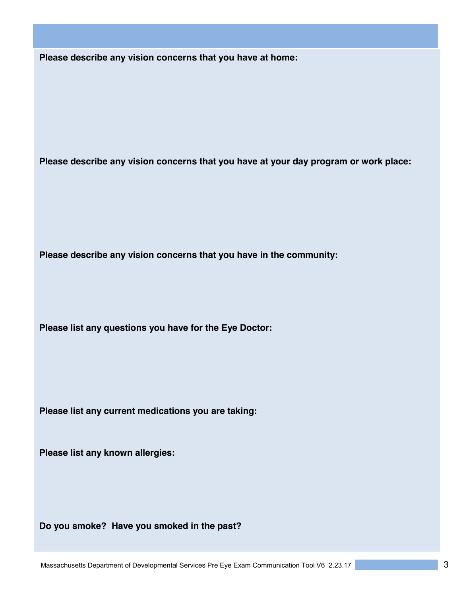**Please describe any vision concerns that you have at home:**

**Please describe any vision concerns that you have at your day program or work place:** 

**Please describe any vision concerns that you have in the community:** 

**Please list any questions you have for the Eye Doctor:** 

**Please list any current medications you are taking:**

**Please list any known allergies:**

**Do you smoke? Have you smoked in the past?**